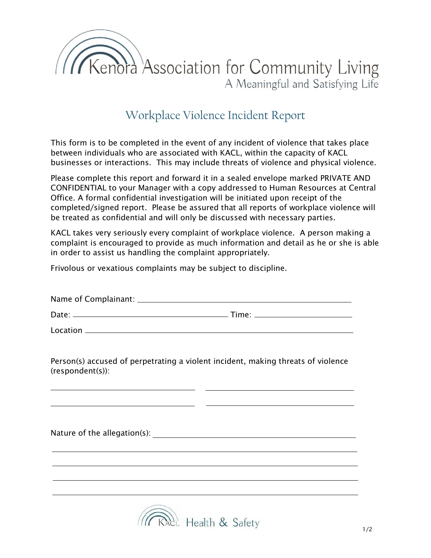

## Workplace Violence Incident Report

This form is to be completed in the event of any incident of violence that takes place between individuals who are associated with KACL, within the capacity of KACL businesses or interactions. This may include threats of violence and physical violence.

Please complete this report and forward it in a sealed envelope marked PRIVATE AND CONFIDENTIAL to your Manager with a copy addressed to Human Resources at Central Office. A formal confidential investigation will be initiated upon receipt of the completed/signed report. Please be assured that all reports of workplace violence will be treated as confidential and will only be discussed with necessary parties.

KACL takes very seriously every complaint of workplace violence. A person making a complaint is encouraged to provide as much information and detail as he or she is able in order to assist us handling the complaint appropriately.

Frivolous or vexatious complaints may be subject to discipline.

| Name of Complainant: |       |
|----------------------|-------|
| Date:                | Time: |

Location

Person(s) accused of perpetrating a violent incident, making threats of violence (respondent(s)):

Nature of the allegation(s):